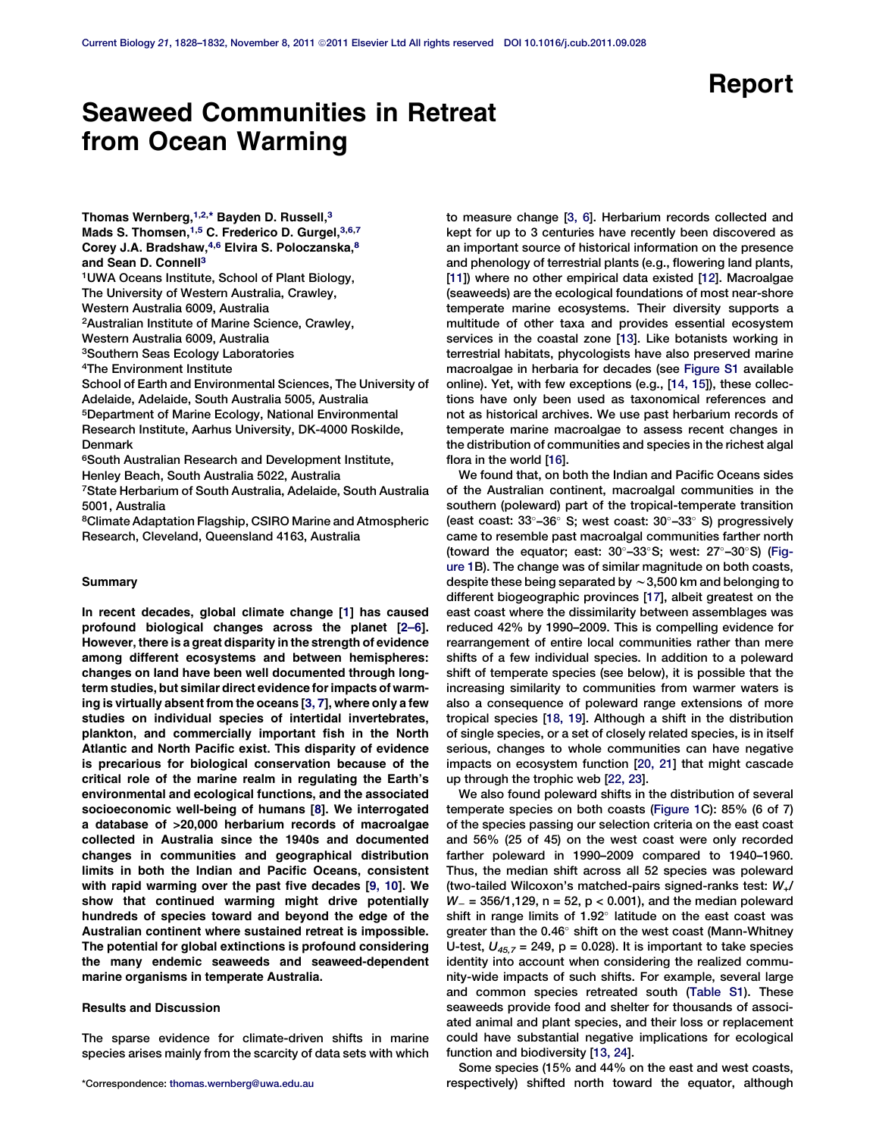# Report

# Seaweed Communities in Retreat from Ocean Warming

Thomas Wernberg, $^{1,2,*}$  Bayden D. Russell, $^3$ Mads S. Thomsen,<sup>1,5</sup> C. Frederico D. Gurgel, 3,6,7 Corey J.A. Bradshaw, 4,6 Elvira S. Poloczanska, 8 and Sean D. Connell<sup>3</sup>

1UWA Oceans Institute, School of Plant Biology,

The University of Western Australia, Crawley,

Western Australia 6009, Australia

2Australian Institute of Marine Science, Crawley,

Western Australia 6009, Australia

3Southern Seas Ecology Laboratories

4The Environment Institute

School of Earth and Environmental Sciences, The University of Adelaide, Adelaide, South Australia 5005, Australia 5Department of Marine Ecology, National Environmental

Research Institute, Aarhus University, DK-4000 Roskilde, Denmark

6South Australian Research and Development Institute, Henley Beach, South Australia 5022, Australia

7State Herbarium of South Australia, Adelaide, South Australia 5001, Australia

8Climate Adaptation Flagship, CSIRO Marine and Atmospheric Research, Cleveland, Queensland 4163, Australia

### Summary

In recent decades, global climate change [\[1\]](#page-3-0) has caused profound biological changes across the planet [\[2–6](#page-3-0)]. However, there is a great disparity in the strength of evidence among different ecosystems and between hemispheres: changes on land have been well documented through longterm studies, but similar direct evidence for impacts of warming is virtually absent from the oceans [\[3, 7](#page-3-0)], where only a few studies on individual species of intertidal invertebrates, plankton, and commercially important fish in the North Atlantic and North Pacific exist. This disparity of evidence is precarious for biological conservation because of the critical role of the marine realm in regulating the Earth's environmental and ecological functions, and the associated socioeconomic well-being of humans [[8](#page-3-0)]. We interrogated a database of >20,000 herbarium records of macroalgae collected in Australia since the 1940s and documented changes in communities and geographical distribution limits in both the Indian and Pacific Oceans, consistent with rapid warming over the past five decades [[9, 10](#page-3-0)]. We show that continued warming might drive potentially hundreds of species toward and beyond the edge of the Australian continent where sustained retreat is impossible. The potential for global extinctions is profound considering the many endemic seaweeds and seaweed-dependent marine organisms in temperate Australia.

## Results and Discussion

The sparse evidence for climate-driven shifts in marine species arises mainly from the scarcity of data sets with which

to measure change [[3, 6](#page-3-0)]. Herbarium records collected and kept for up to 3 centuries have recently been discovered as an important source of historical information on the presence and phenology of terrestrial plants (e.g., flowering land plants, [[11](#page-3-0)]) where no other empirical data existed [\[12\]](#page-3-0). Macroalgae (seaweeds) are the ecological foundations of most near-shore temperate marine ecosystems. Their diversity supports a multitude of other taxa and provides essential ecosystem services in the coastal zone [\[13](#page-3-0)]. Like botanists working in terrestrial habitats, phycologists have also preserved marine macroalgae in herbaria for decades (see [Figure S1](#page-3-0) available online). Yet, with few exceptions (e.g., [\[14, 15](#page-3-0)]), these collections have only been used as taxonomical references and not as historical archives. We use past herbarium records of temperate marine macroalgae to assess recent changes in the distribution of communities and species in the richest algal flora in the world [[16](#page-3-0)].

We found that, on both the Indian and Pacific Oceans sides of the Australian continent, macroalgal communities in the southern (poleward) part of the tropical-temperate transition (east coast:  $33^{\circ}$ -36 $^{\circ}$  S; west coast:  $30^{\circ}$ -33 $^{\circ}$  S) progressively came to resemble past macroalgal communities farther north (toward the equator; east:  $30^{\circ}$ –33°S; west:  $27^{\circ}$ –30°S) [\(Fig](#page-1-0)[ure 1B](#page-1-0)). The change was of similar magnitude on both coasts, despite these being separated by  $\sim$  3,500 km and belonging to different biogeographic provinces [[17\]](#page-3-0), albeit greatest on the east coast where the dissimilarity between assemblages was reduced 42% by 1990–2009. This is compelling evidence for rearrangement of entire local communities rather than mere shifts of a few individual species. In addition to a poleward shift of temperate species (see below), it is possible that the increasing similarity to communities from warmer waters is also a consequence of poleward range extensions of more tropical species [\[18, 19\]](#page-3-0). Although a shift in the distribution of single species, or a set of closely related species, is in itself serious, changes to whole communities can have negative impacts on ecosystem function [\[20, 21\]](#page-3-0) that might cascade up through the trophic web [[22, 23](#page-3-0)].

We also found poleward shifts in the distribution of several temperate species on both coasts [\(Figure 1C](#page-1-0)): 85% (6 of 7) of the species passing our selection criteria on the east coast and 56% (25 of 45) on the west coast were only recorded farther poleward in 1990–2009 compared to 1940–1960. Thus, the median shift across all 52 species was poleward (two-tailed Wilcoxon's matched-pairs signed-ranks test: W+/  $W = 356/1,129$ , n = 52, p < 0.001), and the median poleward shift in range limits of  $1.92^\circ$  latitude on the east coast was greater than the 0.46° shift on the west coast (Mann-Whitney U-test,  $U_{45.7}$  = 249, p = 0.028). It is important to take species identity into account when considering the realized community-wide impacts of such shifts. For example, several large and common species retreated south [\(Table S1\)](#page-3-0). These seaweeds provide food and shelter for thousands of associated animal and plant species, and their loss or replacement could have substantial negative implications for ecological function and biodiversity [[13, 24](#page-3-0)].

Some species (15% and 44% on the east and west coasts, \*Correspondence: [thomas.wernberg@uwa.edu.au](mailto:thomas.wernberg@uwa.edu.au) respectively) shifted north toward the equator, although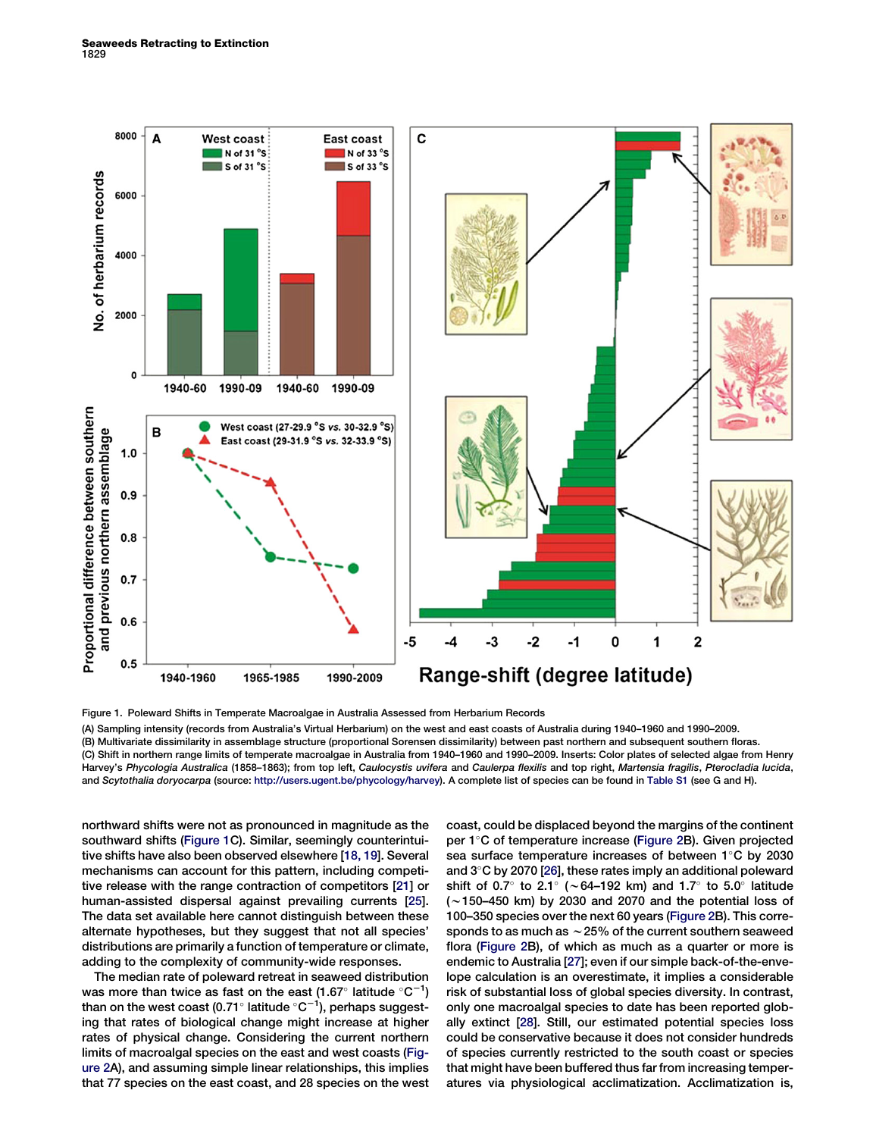<span id="page-1-0"></span>

Figure 1. Poleward Shifts in Temperate Macroalgae in Australia Assessed from Herbarium Records (A) Sampling intensity (records from Australia's Virtual Herbarium) on the west and east coasts of Australia during 1940–1960 and 1990–2009. (B) Multivariate dissimilarity in assemblage structure (proportional Sorensen dissimilarity) between past northern and subsequent southern floras.

(C) Shift in northern range limits of temperate macroalgae in Australia from 1940–1960 and 1990–2009. Inserts: Color plates of selected algae from Henry Harvey's Phycologia Australica (1858-1863); from top left, Caulocystis uvifera and Caulerpa flexilis and top right, Martensia fragilis, Pterocladia lucida, and Scytothalia doryocarpa (source: <http://users.ugent.be/phycology/harvey>). A complete list of species can be found in [Table S1](#page-3-0) (see G and H).

northward shifts were not as pronounced in magnitude as the southward shifts (Figure 1C). Similar, seemingly counterintuitive shifts have also been observed elsewhere [[18, 19\]](#page-3-0). Several mechanisms can account for this pattern, including competitive release with the range contraction of competitors [[21](#page-3-0)] or human-assisted dispersal against prevailing currents [\[25\]](#page-3-0). The data set available here cannot distinguish between these alternate hypotheses, but they suggest that not all species' distributions are primarily a function of temperature or climate, adding to the complexity of community-wide responses.

The median rate of poleward retreat in seaweed distribution was more than twice as fast on the east (1.67 $^{\circ}$  latitude  $^{\circ} \mathrm{C}^{-1} )$ than on the west coast (0.71 $^{\circ}$  latitude  $^{\circ}$ C $^{-1}$ ), perhaps suggesting that rates of biological change might increase at higher rates of physical change. Considering the current northern limits of macroalgal species on the east and west coasts [\(Fig](#page-2-0)[ure 2A](#page-2-0)), and assuming simple linear relationships, this implies that 77 species on the east coast, and 28 species on the west

coast, could be displaced beyond the margins of the continent per 1°C of temperature increase ([Figure 2B](#page-2-0)). Given projected sea surface temperature increases of between  $1^{\circ}$ C by 2030 and  $3^{\circ}$ C by 2070 [[26\]](#page-3-0), these rates imply an additional poleward shift of 0.7° to 2.1° ( $\sim$  64–192 km) and 1.7° to 5.0° latitude  $(\sim$ 150–450 km) by 2030 and 2070 and the potential loss of 100–350 species over the next 60 years [\(Figure 2](#page-2-0)B). This corresponds to as much as  $\sim$  25% of the current southern seaweed flora ([Figure 2](#page-2-0)B), of which as much as a quarter or more is endemic to Australia [[27](#page-3-0)]; even if our simple back-of-the-envelope calculation is an overestimate, it implies a considerable risk of substantial loss of global species diversity. In contrast, only one macroalgal species to date has been reported globally extinct [\[28](#page-3-0)]. Still, our estimated potential species loss could be conservative because it does not consider hundreds of species currently restricted to the south coast or species that might have been buffered thus far from increasing temperatures via physiological acclimatization. Acclimatization is,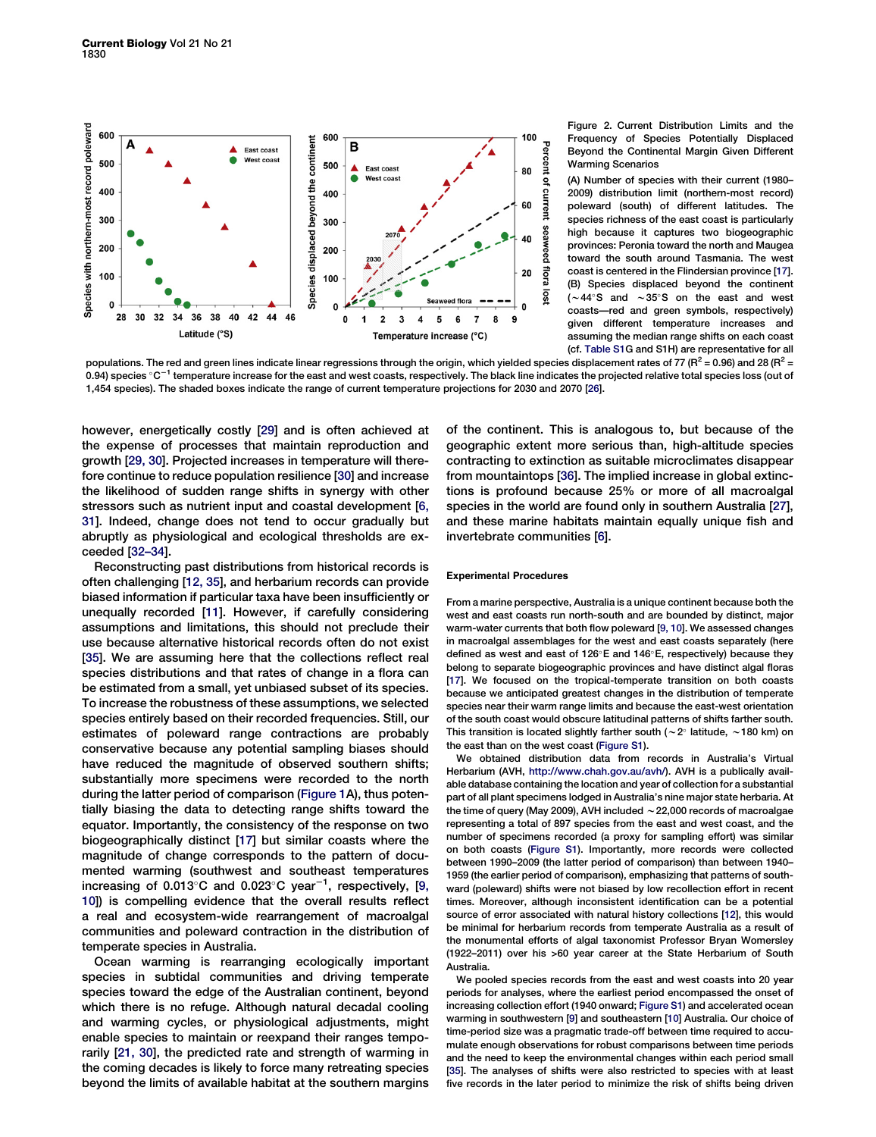<span id="page-2-0"></span>

Figure 2. Current Distribution Limits and the Frequency of Species Potentially Displaced Beyond the Continental Margin Given Different Warming Scenarios

(A) Number of species with their current (1980– 2009) distribution limit (northern-most record) poleward (south) of different latitudes. The species richness of the east coast is particularly high because it captures two biogeographic provinces: Peronia toward the north and Maugea toward the south around Tasmania. The west coast is centered in the Flindersian province [[17\]](#page-3-0). (B) Species displaced beyond the continent  $(-44^{\circ}S$  and  $\sim 35^{\circ}S$  on the east and west coasts—red and green symbols, respectively) given different temperature increases and assuming the median range shifts on each coast (cf. [Table S1G](#page-3-0) and S1H) are representative for all

populations. The red and green lines indicate linear regressions through the origin, which yielded species displacement rates of 77 ( $R^2$  = 0.96) and 28 ( $R^2$  = 0.94) species  $\degree$ C<sup>-1</sup> temperature increase for the east and west coasts, respectively. The black line indicates the projected relative total species loss (out of 1,454 species). The shaded boxes indicate the range of current temperature projections for 2030 and 2070 [\[26\]](#page-3-0).

however, energetically costly [[29\]](#page-3-0) and is often achieved at the expense of processes that maintain reproduction and growth [\[29, 30\]](#page-3-0). Projected increases in temperature will therefore continue to reduce population resilience [\[30\]](#page-3-0) and increase the likelihood of sudden range shifts in synergy with other stressors such as nutrient input and coastal development [\[6,](#page-3-0) [31\]](#page-3-0). Indeed, change does not tend to occur gradually but abruptly as physiological and ecological thresholds are exceeded [\[32–34](#page-4-0)].

Reconstructing past distributions from historical records is often challenging [\[12, 35](#page-3-0)], and herbarium records can provide biased information if particular taxa have been insufficiently or unequally recorded [[11\]](#page-3-0). However, if carefully considering assumptions and limitations, this should not preclude their use because alternative historical records often do not exist [[35](#page-4-0)]. We are assuming here that the collections reflect real species distributions and that rates of change in a flora can be estimated from a small, yet unbiased subset of its species. To increase the robustness of these assumptions, we selected species entirely based on their recorded frequencies. Still, our estimates of poleward range contractions are probably conservative because any potential sampling biases should have reduced the magnitude of observed southern shifts; substantially more specimens were recorded to the north during the latter period of comparison [\(Figure 1](#page-1-0)A), thus potentially biasing the data to detecting range shifts toward the equator. Importantly, the consistency of the response on two biogeographically distinct [[17](#page-3-0)] but similar coasts where the magnitude of change corresponds to the pattern of documented warming (southwest and southeast temperatures increasing of 0.013°C and 0.023°C year<sup>-1</sup>, respectively, [\[9,](#page-3-0) [10\]](#page-3-0)) is compelling evidence that the overall results reflect a real and ecosystem-wide rearrangement of macroalgal communities and poleward contraction in the distribution of temperate species in Australia.

Ocean warming is rearranging ecologically important species in subtidal communities and driving temperate species toward the edge of the Australian continent, beyond which there is no refuge. Although natural decadal cooling and warming cycles, or physiological adjustments, might enable species to maintain or reexpand their ranges temporarily [\[21, 30](#page-3-0)], the predicted rate and strength of warming in the coming decades is likely to force many retreating species beyond the limits of available habitat at the southern margins

of the continent. This is analogous to, but because of the geographic extent more serious than, high-altitude species contracting to extinction as suitable microclimates disappear from mountaintops [\[36](#page-4-0)]. The implied increase in global extinctions is profound because 25% or more of all macroalgal species in the world are found only in southern Australia [\[27\]](#page-3-0), and these marine habitats maintain equally unique fish and invertebrate communities [[6](#page-3-0)].

#### Experimental Procedures

From a marine perspective, Australia is a unique continent because both the west and east coasts run north-south and are bounded by distinct, major warm-water currents that both flow poleward [[9, 10\]](#page-3-0). We assessed changes in macroalgal assemblages for the west and east coasts separately (here defined as west and east of 126°E and 146°E, respectively) because they belong to separate biogeographic provinces and have distinct algal floras [\[17](#page-3-0)]. We focused on the tropical-temperate transition on both coasts because we anticipated greatest changes in the distribution of temperate species near their warm range limits and because the east-west orientation of the south coast would obscure latitudinal patterns of shifts farther south. This transition is located slightly farther south ( $\sim$  2° latitude,  $\sim$  180 km) on the east than on the west coast ([Figure S1](#page-3-0)).

We obtained distribution data from records in Australia's Virtual Herbarium (AVH, <http://www.chah.gov.au/avh/>). AVH is a publically available database containing the location and year of collection for a substantial part of all plant specimens lodged in Australia's nine major state herbaria. At the time of query (May 2009), AVH included  $\sim$  22,000 records of macroalgae representing a total of 897 species from the east and west coast, and the number of specimens recorded (a proxy for sampling effort) was similar on both coasts [\(Figure S1\)](#page-3-0). Importantly, more records were collected between 1990–2009 (the latter period of comparison) than between 1940– 1959 (the earlier period of comparison), emphasizing that patterns of southward (poleward) shifts were not biased by low recollection effort in recent times. Moreover, although inconsistent identification can be a potential source of error associated with natural history collections [\[12\]](#page-3-0), this would be minimal for herbarium records from temperate Australia as a result of the monumental efforts of algal taxonomist Professor Bryan Womersley (1922–2011) over his >60 year career at the State Herbarium of South Australia.

We pooled species records from the east and west coasts into 20 year periods for analyses, where the earliest period encompassed the onset of increasing collection effort (1940 onward; [Figure S1](#page-3-0)) and accelerated ocean warming in southwestern [\[9\]](#page-3-0) and southeastern [[10\]](#page-3-0) Australia. Our choice of time-period size was a pragmatic trade-off between time required to accumulate enough observations for robust comparisons between time periods and the need to keep the environmental changes within each period small [\[35](#page-4-0)]. The analyses of shifts were also restricted to species with at least five records in the later period to minimize the risk of shifts being driven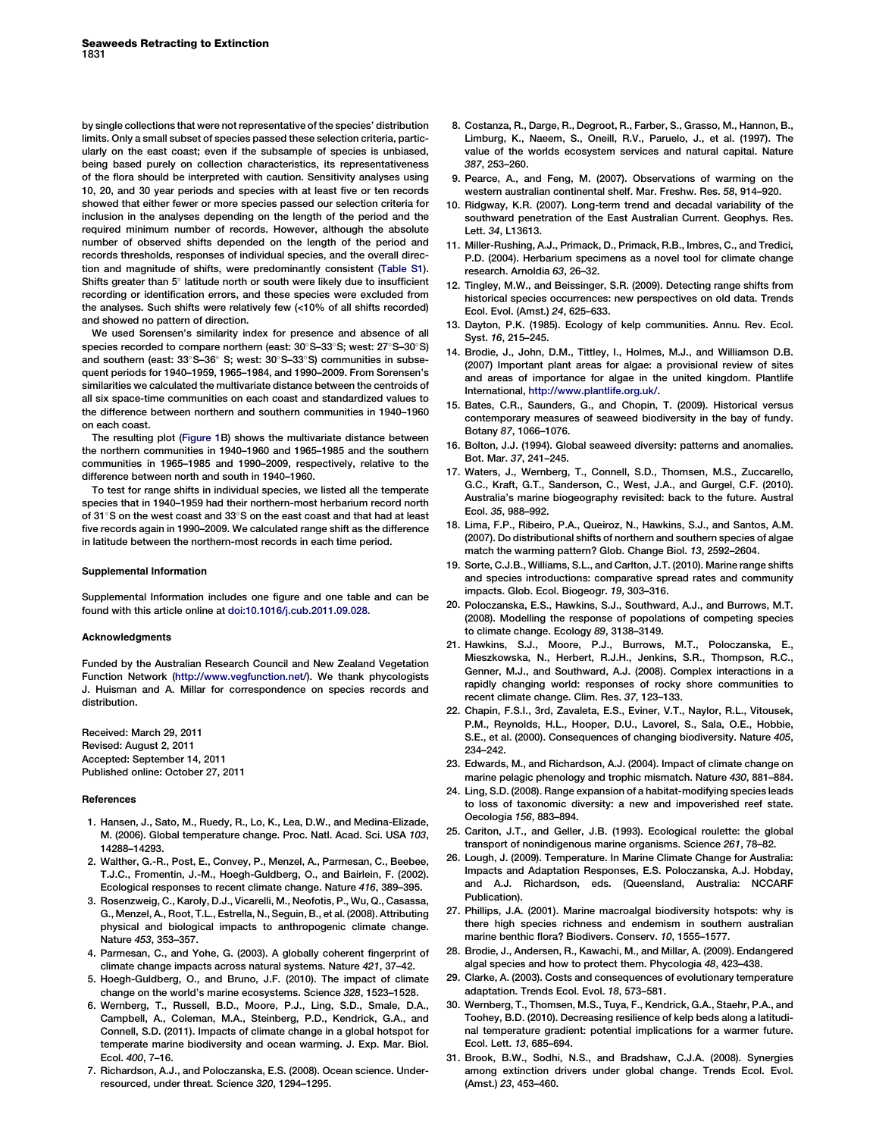<span id="page-3-0"></span>by single collections that were not representative of the species' distribution limits. Only a small subset of species passed these selection criteria, particularly on the east coast; even if the subsample of species is unbiased, being based purely on collection characteristics, its representativeness of the flora should be interpreted with caution. Sensitivity analyses using 10, 20, and 30 year periods and species with at least five or ten records showed that either fewer or more species passed our selection criteria for inclusion in the analyses depending on the length of the period and the required minimum number of records. However, although the absolute number of observed shifts depended on the length of the period and records thresholds, responses of individual species, and the overall direction and magnitude of shifts, were predominantly consistent (Table S1). Shifts greater than  $5^\circ$  latitude north or south were likely due to insufficient recording or identification errors, and these species were excluded from the analyses. Such shifts were relatively few (<10% of all shifts recorded) and showed no pattern of direction.

We used Sorensen's similarity index for presence and absence of all species recorded to compare northern (east: 30°S-33°S; west: 27°S-30°S) and southern (east:  $33^{\circ}$ S- $36^{\circ}$  S; west:  $30^{\circ}$ S- $33^{\circ}$ S) communities in subsequent periods for 1940–1959, 1965–1984, and 1990–2009. From Sorensen's similarities we calculated the multivariate distance between the centroids of all six space-time communities on each coast and standardized values to the difference between northern and southern communities in 1940–1960 on each coast.

The resulting plot [\(Figure 1](#page-1-0)B) shows the multivariate distance between the northern communities in 1940–1960 and 1965–1985 and the southern communities in 1965–1985 and 1990–2009, respectively, relative to the difference between north and south in 1940–1960.

To test for range shifts in individual species, we listed all the temperate species that in 1940–1959 had their northern-most herbarium record north of 31°S on the west coast and 33°S on the east coast and that had at least five records again in 1990–2009. We calculated range shift as the difference in latitude between the northern-most records in each time period.

#### Supplemental Information

Supplemental Information includes one figure and one table and can be found with this article online at [doi:10.1016/j.cub.2011.09.028](http://dx.doi.org/doi:10.1016/j.cub.2011.09.028).

#### Acknowledgments

Funded by the Australian Research Council and New Zealand Vegetation Function Network (<http://www.vegfunction.net/>). We thank phycologists J. Huisman and A. Millar for correspondence on species records and distribution.

Received: March 29, 2011 Revised: August 2, 2011 Accepted: September 14, 2011 Published online: October 27, 2011

#### References

- 1. Hansen, J., Sato, M., Ruedy, R., Lo, K., Lea, D.W., and Medina-Elizade, M. (2006). Global temperature change. Proc. Natl. Acad. Sci. USA 103, 14288–14293.
- 2. Walther, G.-R., Post, E., Convey, P., Menzel, A., Parmesan, C., Beebee, T.J.C., Fromentin, J.-M., Hoegh-Guldberg, O., and Bairlein, F. (2002). Ecological responses to recent climate change. Nature 416, 389–395.
- 3. Rosenzweig, C., Karoly, D.J., Vicarelli, M., Neofotis, P., Wu, Q., Casassa, G., Menzel, A., Root, T.L., Estrella, N., Seguin, B., et al. (2008). Attributing physical and biological impacts to anthropogenic climate change. Nature 453, 353–357.
- 4. Parmesan, C., and Yohe, G. (2003). A globally coherent fingerprint of climate change impacts across natural systems. Nature 421, 37–42.
- 5. Hoegh-Guldberg, O., and Bruno, J.F. (2010). The impact of climate change on the world's marine ecosystems. Science 328, 1523–1528.
- 6. Wernberg, T., Russell, B.D., Moore, P.J., Ling, S.D., Smale, D.A., Campbell, A., Coleman, M.A., Steinberg, P.D., Kendrick, G.A., and Connell, S.D. (2011). Impacts of climate change in a global hotspot for temperate marine biodiversity and ocean warming. J. Exp. Mar. Biol. Ecol. 400, 7–16.
- 7. Richardson, A.J., and Poloczanska, E.S. (2008). Ocean science. Underresourced, under threat. Science 320, 1294–1295.
- 8. Costanza, R., Darge, R., Degroot, R., Farber, S., Grasso, M., Hannon, B., Limburg, K., Naeem, S., Oneill, R.V., Paruelo, J., et al. (1997). The value of the worlds ecosystem services and natural capital. Nature 387, 253–260.
- 9. Pearce, A., and Feng, M. (2007). Observations of warming on the western australian continental shelf. Mar. Freshw. Res. 58, 914–920.
- 10. Ridgway, K.R. (2007). Long-term trend and decadal variability of the southward penetration of the East Australian Current. Geophys. Res. Lett. 34, L13613.
- 11. Miller-Rushing, A.J., Primack, D., Primack, R.B., Imbres, C., and Tredici, P.D. (2004). Herbarium specimens as a novel tool for climate change research. Arnoldia 63, 26–32.
- 12. Tingley, M.W., and Beissinger, S.R. (2009). Detecting range shifts from historical species occurrences: new perspectives on old data. Trends Ecol. Evol. (Amst.) 24, 625–633.
- 13. Dayton, P.K. (1985). Ecology of kelp communities. Annu. Rev. Ecol. Syst. 16, 215–245.
- 14. Brodie, J., John, D.M., Tittley, I., Holmes, M.J., and Williamson D.B. (2007) Important plant areas for algae: a provisional review of sites and areas of importance for algae in the united kingdom. Plantlife International, [http://www.plantlife.org.uk/.](http://www.plantlife.org.uk/)
- 15. Bates, C.R., Saunders, G., and Chopin, T. (2009). Historical versus contemporary measures of seaweed biodiversity in the bay of fundy. Botany 87, 1066–1076.
- 16. Bolton, J.J. (1994). Global seaweed diversity: patterns and anomalies. Bot. Mar. 37, 241–245.
- 17. Waters, J., Wernberg, T., Connell, S.D., Thomsen, M.S., Zuccarello, G.C., Kraft, G.T., Sanderson, C., West, J.A., and Gurgel, C.F. (2010). Australia's marine biogeography revisited: back to the future. Austral Ecol. 35, 988–992.
- 18. Lima, F.P., Ribeiro, P.A., Queiroz, N., Hawkins, S.J., and Santos, A.M. (2007). Do distributional shifts of northern and southern species of algae match the warming pattern? Glob. Change Biol. 13, 2592–2604.
- 19. Sorte, C.J.B., Williams, S.L., and Carlton, J.T. (2010). Marine range shifts and species introductions: comparative spread rates and community impacts. Glob. Ecol. Biogeogr. 19, 303–316.
- 20. Poloczanska, E.S., Hawkins, S.J., Southward, A.J., and Burrows, M.T. (2008). Modelling the response of popolations of competing species to climate change. Ecology 89, 3138–3149.
- 21. Hawkins, S.J., Moore, P.J., Burrows, M.T., Poloczanska, E., Mieszkowska, N., Herbert, R.J.H., Jenkins, S.R., Thompson, R.C., Genner, M.J., and Southward, A.J. (2008). Complex interactions in a rapidly changing world: responses of rocky shore communities to recent climate change. Clim. Res. 37, 123–133.
- 22. Chapin, F.S.I., 3rd, Zavaleta, E.S., Eviner, V.T., Naylor, R.L., Vitousek, P.M., Reynolds, H.L., Hooper, D.U., Lavorel, S., Sala, O.E., Hobbie, S.E., et al. (2000). Consequences of changing biodiversity. Nature 405, 234–242.
- 23. Edwards, M., and Richardson, A.J. (2004). Impact of climate change on marine pelagic phenology and trophic mismatch. Nature 430, 881–884.
- 24. Ling, S.D. (2008). Range expansion of a habitat-modifying species leads to loss of taxonomic diversity: a new and impoverished reef state. Oecologia 156, 883–894.
- 25. Cariton, J.T., and Geller, J.B. (1993). Ecological roulette: the global transport of nonindigenous marine organisms. Science 261, 78–82.
- 26. Lough, J. (2009). Temperature. In Marine Climate Change for Australia: Impacts and Adaptation Responses, E.S. Poloczanska, A.J. Hobday, and A.J. Richardson, eds. (Queensland, Australia: NCCARF Publication).
- 27. Phillips, J.A. (2001). Marine macroalgal biodiversity hotspots: why is there high species richness and endemism in southern australian marine benthic flora? Biodivers. Conserv. 10, 1555–1577.
- 28. Brodie, J., Andersen, R., Kawachi, M., and Millar, A. (2009). Endangered algal species and how to protect them. Phycologia 48, 423–438.
- 29. Clarke, A. (2003). Costs and consequences of evolutionary temperature adaptation. Trends Ecol. Evol. 18, 573–581.
- 30. Wernberg, T., Thomsen, M.S., Tuya, F., Kendrick, G.A., Staehr, P.A., and Toohey, B.D. (2010). Decreasing resilience of kelp beds along a latitudinal temperature gradient: potential implications for a warmer future. Ecol. Lett. 13, 685–694.
- 31. Brook, B.W., Sodhi, N.S., and Bradshaw, C.J.A. (2008). Synergies among extinction drivers under global change. Trends Ecol. Evol. (Amst.) 23, 453–460.